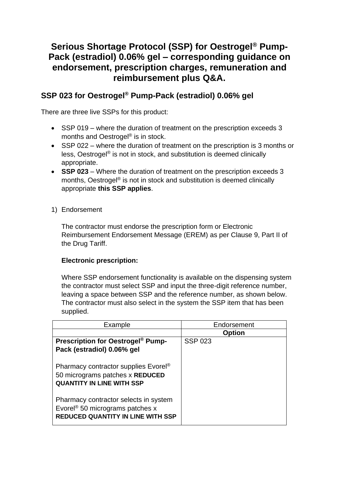# **Serious Shortage Protocol (SSP) for Oestrogel® Pump-Pack (estradiol) 0.06% gel – corresponding guidance on endorsement, prescription charges, remuneration and reimbursement plus Q&A.**

# **SSP 023 for Oestrogel® Pump-Pack (estradiol) 0.06% gel**

There are three live SSPs for this product:

- SSP 019 where the duration of treatment on the prescription exceeds 3 months and Oestrogel<sup>®</sup> is in stock.
- SSP 022 where the duration of treatment on the prescription is 3 months or less, Oestrogel® is not in stock, and substitution is deemed clinically appropriate.
- **SSP 023** Where the duration of treatment on the prescription exceeds 3 months, Oestrogel® is not in stock and substitution is deemed clinically appropriate **this SSP applies**.
- 1) Endorsement

The contractor must endorse the prescription form or Electronic Reimbursement Endorsement Message (EREM) as per Clause 9, Part II of the Drug Tariff.

### **Electronic prescription:**

Where SSP endorsement functionality is available on the dispensing system the contractor must select SSP and input the three-digit reference number, leaving a space between SSP and the reference number, as shown below. The contractor must also select in the system the SSP item that has been supplied.

| Example                                             | Endorsement    |  |
|-----------------------------------------------------|----------------|--|
|                                                     | <b>Option</b>  |  |
| <b>Prescription for Oestrogel<sup>®</sup> Pump-</b> | <b>SSP 023</b> |  |
| Pack (estradiol) 0.06% gel                          |                |  |
|                                                     |                |  |
| Pharmacy contractor supplies Evorel <sup>®</sup>    |                |  |
| 50 micrograms patches x REDUCED                     |                |  |
| <b>QUANTITY IN LINE WITH SSP</b>                    |                |  |
|                                                     |                |  |
| Pharmacy contractor selects in system               |                |  |
| Evorel <sup>®</sup> 50 micrograms patches $x$       |                |  |
| <b>REDUCED QUANTITY IN LINE WITH SSP</b>            |                |  |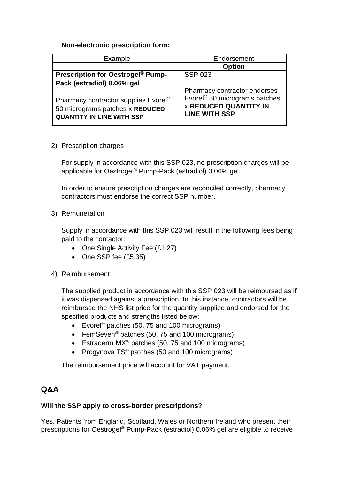### **Non-electronic prescription form:**

| Example                                                                                                                 | Endorsement                                                                                                                       |  |
|-------------------------------------------------------------------------------------------------------------------------|-----------------------------------------------------------------------------------------------------------------------------------|--|
|                                                                                                                         | <b>Option</b>                                                                                                                     |  |
| <b>Prescription for Oestrogel® Pump-</b>                                                                                | <b>SSP 023</b>                                                                                                                    |  |
| Pack (estradiol) 0.06% gel                                                                                              |                                                                                                                                   |  |
| Pharmacy contractor supplies Evorel <sup>®</sup><br>50 micrograms patches x REDUCED<br><b>QUANTITY IN LINE WITH SSP</b> | Pharmacy contractor endorses<br>Evorel <sup>®</sup> 50 micrograms patches<br><b>x REDUCED QUANTITY IN</b><br><b>LINE WITH SSP</b> |  |

2) Prescription charges

For supply in accordance with this SSP 023, no prescription charges will be applicable for Oestrogel® Pump-Pack (estradiol) 0.06% gel.

In order to ensure prescription charges are reconciled correctly, pharmacy contractors must endorse the correct SSP number.

3) Remuneration

Supply in accordance with this SSP 023 will result in the following fees being paid to the contactor:

- One Single Activity Fee (£1.27)
- One SSP fee (£5.35)
- 4) Reimbursement

The supplied product in accordance with this SSP 023 will be reimbursed as if it was dispensed against a prescription. In this instance, contractors will be reimbursed the NHS list price for the quantity supplied and endorsed for the specified products and strengths listed below:

- Evorel<sup>®</sup> patches (50, 75 and 100 micrograms)
- FemSeven<sup>®</sup> patches (50, 75 and 100 micrograms)
- Estraderm MX<sup>®</sup> patches (50, 75 and 100 micrograms)
- Progynova TS<sup>®</sup> patches (50 and 100 micrograms)

The reimbursement price will account for VAT payment.

## **Q&A**

#### **Will the SSP apply to cross-border prescriptions?**

Yes. Patients from England, Scotland, Wales or Northern Ireland who present their prescriptions for Oestrogel® Pump-Pack (estradiol) 0.06% gel are eligible to receive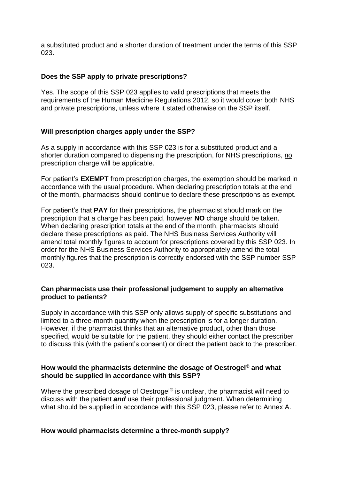a substituted product and a shorter duration of treatment under the terms of this SSP 023.

#### **Does the SSP apply to private prescriptions?**

Yes. The scope of this SSP 023 applies to valid prescriptions that meets the requirements of the Human Medicine Regulations 2012, so it would cover both NHS and private prescriptions, unless where it stated otherwise on the SSP itself.

#### **Will prescription charges apply under the SSP?**

As a supply in accordance with this SSP 023 is for a substituted product and a shorter duration compared to dispensing the prescription, for NHS prescriptions, no prescription charge will be applicable.

For patient's **EXEMPT** from prescription charges, the exemption should be marked in accordance with the usual procedure. When declaring prescription totals at the end of the month, pharmacists should continue to declare these prescriptions as exempt.

For patient's that **PAY** for their prescriptions, the pharmacist should mark on the prescription that a charge has been paid, however **NO** charge should be taken. When declaring prescription totals at the end of the month, pharmacists should declare these prescriptions as paid. The NHS Business Services Authority will amend total monthly figures to account for prescriptions covered by this SSP 023. In order for the NHS Business Services Authority to appropriately amend the total monthly figures that the prescription is correctly endorsed with the SSP number SSP 023.

#### **Can pharmacists use their professional judgement to supply an alternative product to patients?**

Supply in accordance with this SSP only allows supply of specific substitutions and limited to a three-month quantity when the prescription is for a longer duration. However, if the pharmacist thinks that an alternative product, other than those specified, would be suitable for the patient, they should either contact the prescriber to discuss this (with the patient's consent) or direct the patient back to the prescriber.

#### **How would the pharmacists determine the dosage of Oestrogel® and what should be supplied in accordance with this SSP?**

Where the prescribed dosage of Oestrogel<sup>®</sup> is unclear, the pharmacist will need to discuss with the patient *and* use their professional judgment. When determining what should be supplied in accordance with this SSP 023, please refer to Annex A.

#### **How would pharmacists determine a three-month supply?**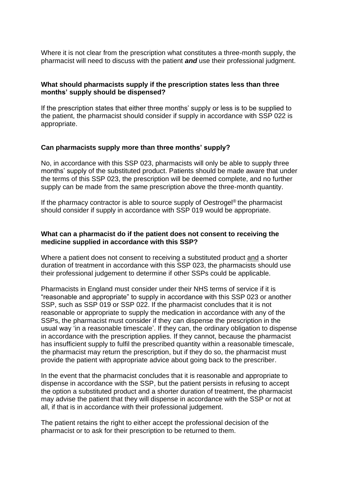Where it is not clear from the prescription what constitutes a three-month supply, the pharmacist will need to discuss with the patient *and* use their professional judgment.

#### **What should pharmacists supply if the prescription states less than three months' supply should be dispensed?**

If the prescription states that either three months' supply or less is to be supplied to the patient, the pharmacist should consider if supply in accordance with SSP 022 is appropriate.

#### **Can pharmacists supply more than three months' supply?**

No, in accordance with this SSP 023, pharmacists will only be able to supply three months' supply of the substituted product. Patients should be made aware that under the terms of this SSP 023, the prescription will be deemed complete, and no further supply can be made from the same prescription above the three-month quantity.

If the pharmacy contractor is able to source supply of Oestrogel® the pharmacist should consider if supply in accordance with SSP 019 would be appropriate.

#### **What can a pharmacist do if the patient does not consent to receiving the medicine supplied in accordance with this SSP?**

Where a patient does not consent to receiving a substituted product and a shorter duration of treatment in accordance with this SSP 023, the pharmacists should use their professional judgement to determine if other SSPs could be applicable.

Pharmacists in England must consider under their NHS terms of service if it is "reasonable and appropriate" to supply in accordance with this SSP 023 or another SSP, such as SSP 019 or SSP 022. If the pharmacist concludes that it is not reasonable or appropriate to supply the medication in accordance with any of the SSPs, the pharmacist must consider if they can dispense the prescription in the usual way 'in a reasonable timescale'. If they can, the ordinary obligation to dispense in accordance with the prescription applies. If they cannot, because the pharmacist has insufficient supply to fulfil the prescribed quantity within a reasonable timescale, the pharmacist may return the prescription, but if they do so, the pharmacist must provide the patient with appropriate advice about going back to the prescriber.

In the event that the pharmacist concludes that it is reasonable and appropriate to dispense in accordance with the SSP, but the patient persists in refusing to accept the option a substituted product and a shorter duration of treatment, the pharmacist may advise the patient that they will dispense in accordance with the SSP or not at all, if that is in accordance with their professional judgement.

The patient retains the right to either accept the professional decision of the pharmacist or to ask for their prescription to be returned to them.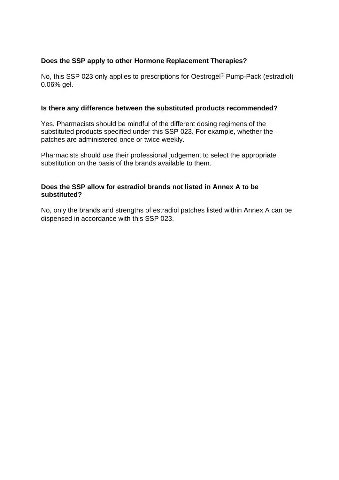#### **Does the SSP apply to other Hormone Replacement Therapies?**

No, this SSP 023 only applies to prescriptions for Oestrogel® Pump-Pack (estradiol) 0.06% gel.

#### **Is there any difference between the substituted products recommended?**

Yes. Pharmacists should be mindful of the different dosing regimens of the substituted products specified under this SSP 023. For example, whether the patches are administered once or twice weekly.

Pharmacists should use their professional judgement to select the appropriate substitution on the basis of the brands available to them.

#### **Does the SSP allow for estradiol brands not listed in Annex A to be substituted?**

No, only the brands and strengths of estradiol patches listed within Annex A can be dispensed in accordance with this SSP 023.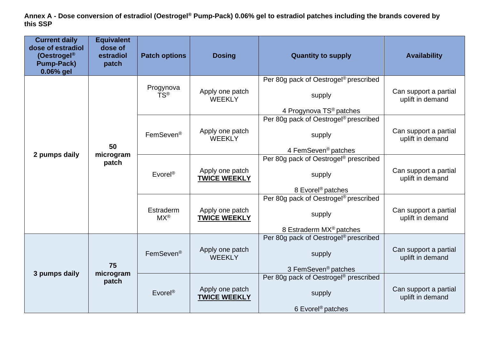**Annex A - Dose conversion of estradiol (Oestrogel® Pump-Pack) 0.06% gel to estradiol patches including the brands covered by this SSP**

| <b>Current daily</b><br>dose of estradiol<br>(Oestrogel <sup>®</sup><br><b>Pump-Pack)</b><br>0.06% gel | <b>Equivalent</b><br>dose of<br>estradiol<br>patch | <b>Patch options</b>          | <b>Dosing</b>                          | <b>Quantity to supply</b>                                                                          | <b>Availability</b>                       |
|--------------------------------------------------------------------------------------------------------|----------------------------------------------------|-------------------------------|----------------------------------------|----------------------------------------------------------------------------------------------------|-------------------------------------------|
| 2 pumps daily                                                                                          | 50<br>microgram<br>patch                           | Progynova<br>TS®              | Apply one patch<br><b>WEEKLY</b>       | Per 80g pack of Oestrogel <sup>®</sup> prescribed<br>supply<br>4 Progynova TS <sup>®</sup> patches | Can support a partial<br>uplift in demand |
|                                                                                                        |                                                    | FemSeven <sup>®</sup>         | Apply one patch<br><b>WEEKLY</b>       | Per 80g pack of Oestrogel <sup>®</sup> prescribed<br>supply<br>4 FemSeven <sup>®</sup> patches     | Can support a partial<br>uplift in demand |
|                                                                                                        |                                                    | Evorel <sup>®</sup>           | Apply one patch<br><b>TWICE WEEKLY</b> | Per 80g pack of Oestrogel <sup>®</sup> prescribed<br>supply<br>8 Evorel <sup>®</sup> patches       | Can support a partial<br>uplift in demand |
|                                                                                                        |                                                    | Estraderm<br>$MX^{\circledR}$ | Apply one patch<br><b>TWICE WEEKLY</b> | Per 80g pack of Oestrogel® prescribed<br>supply<br>8 Estraderm MX <sup>®</sup> patches             | Can support a partial<br>uplift in demand |
| 3 pumps daily                                                                                          | 75<br>microgram<br>patch                           | FemSeven <sup>®</sup>         | Apply one patch<br><b>WEEKLY</b>       | Per 80q pack of Oestrogel <sup>®</sup> prescribed<br>supply<br>3 FemSeven <sup>®</sup> patches     | Can support a partial<br>uplift in demand |
|                                                                                                        |                                                    | $E$ vorel®                    | Apply one patch<br><b>TWICE WEEKLY</b> | Per 80g pack of Oestrogel® prescribed<br>supply<br>6 Evorel <sup>®</sup> patches                   | Can support a partial<br>uplift in demand |